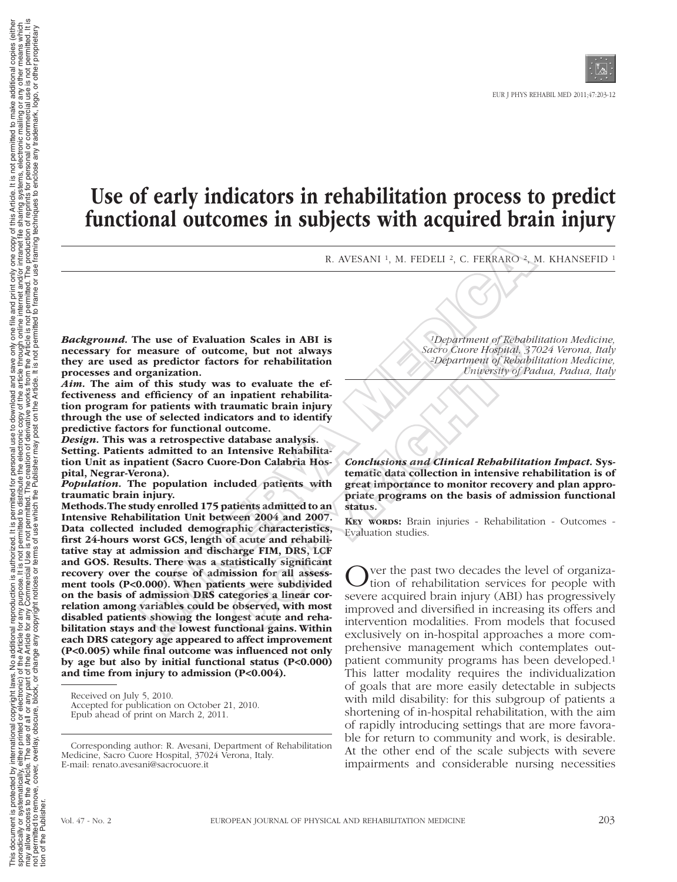# Use of early indicators in rehabilitation process to predict functional outcomes in subjects with acquired brain injury

R. AVESANI<sup>1</sup>, M. FEDELI<sup>2</sup>, C. FERRARO<sup>2</sup>, M. KHANSEFID<sup>1</sup>

*Background.* The use of Evaluation Scales in ABI is necessary for measure of outcome, but not always they are used as predictor factors for rehabilitation processes and organization.

*Aim.* The aim of this study was to evaluate the effectiveness and efficiency of an inpatient rehabilitation program for patients with traumatic brain injury through the use of selected indicators and to identify predictive factors for functional outcome.

*Design.* This was a retrospective database analysis. Setting. Patients admitted to an Intensive Rehabilitation Unit as inpatient (Sacro Cuore-Don Calabria Hospital, Negrar-Verona).

*Population.* The population included patients with traumatic brain injury.

Methods. The study enrolled 175 patients admitted to an Intensive Rehabilitation Unit between 2004 and 2007. Data collected included demographic characteristics, first 24-hours worst GCS, length of acute and rehabilitative stay at admission and discharge FIM, DRS, LCF and GOS. Results. There was a statistically significant recovery over the course of admission for all assessment tools (P<0.000). When patients were subdivided on the basis of admission DRS categories a linear correlation among variables could be observed, with most disabled patients showing the longest acute and rehabilitation stays and the lowest functional gains. Within each DRS category age appeared to affect improvement (P<0.005) while final outcome was influenced not only by age but also by initial functional status (P<0.000) and time from injury to admission (P<0.004). R. AVESANI <sup>1</sup>, M. FEDELI <sup>2</sup>, C. FERRARO<sup>2</sup>,<br>
he use of Evaluation Scales in ABI is<br>
measure of outcome, but not always<br>
as predictor factors for rehabilitation<br>
and Sacro Curor Hospital,  $\frac{3}{2}$ <br>
expariment of Respubl From the set of the part of the part of the part of the sole of the set of the set of the set of the set of the set of the set of the set of the set of the set of the set of the set of the set of the set of the set of the

Received on July 5, 2010.

Accepted for publication on October 21, 2010. Epub ahead of print on March 2, 2011.

Corresponding author: R. Avesani, Department of Rehabilitation Medicine, Sacro Cuore Hospital, 37024 Verona, Italy. E-mail: renato.avesani@sacrocuore.it

*1Department of Rehabilitation Medicine, Sacro Cuore Hospital, 37024 Verona, Italy 2Department of Rehabilitation Medicine, University of Padua, Padua, Italy*

*Conclusions and Clinical Rehabilitation Impact.* Systematic data collection in intensive rehabilitation is of great importance to monitor recovery and plan appropriate programs on the basis of admission functional status.

KEY WORDS: Brain injuries - Rehabilitation - Outcomes -Evaluation studies.

Nuer the past two decades the level of organization of rehabilitation services for people with severe acquired brain injury (ABI) has progressively improved and diversified in increasing its offers and intervention modalities. From models that focused exclusively on in-hospital approaches a more comprehensive management which contemplates outpatient community programs has been developed.1 This latter modality requires the individualization of goals that are more easily detectable in subjects with mild disability: for this subgroup of patients a shortening of in-hospital rehabilitation, with the aim of rapidly introducing settings that are more favorable for return to community and work, is desirable. At the other end of the scale subjects with severe impairments and considerable nursing necessities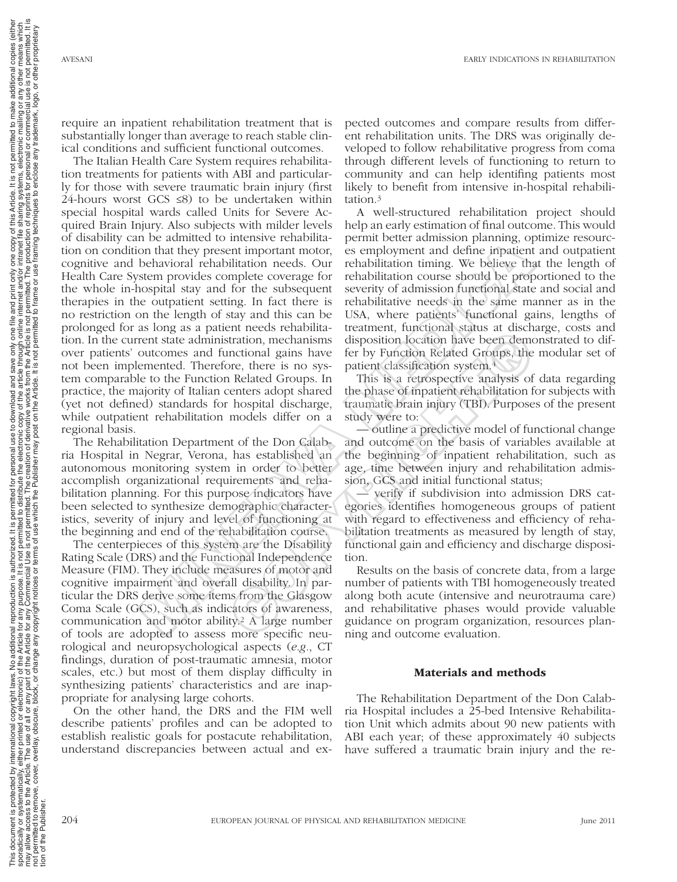require an inpatient rehabilitation treatment that is substantially longer than average to reach stable clinical conditions and sufficient functional outcomes.

The Italian Health Care System requires rehabilitation treatments for patients with ABI and particularly for those with severe traumatic brain injury (first 24-hours worst GCS  $\leq 8$ ) to be undertaken within special hospital wards called Units for Severe Acquired Brain Injury. Also subjects with milder levels of disability can be admitted to intensive rehabilitation on condition that they present important motor, cognitive and behavioral rehabilitation needs. Our Health Care System provides complete coverage for the whole in-hospital stay and for the subsequent therapies in the outpatient setting. In fact there is no restriction on the length of stay and this can be prolonged for as long as a patient needs rehabilitation. In the current state administration, mechanisms over patients' outcomes and functional gains have not been implemented. Therefore, there is no system comparable to the Function Related Groups. In practice, the majority of Italian centers adopt shared (yet not defined) standards for hospital discharge, while outpatient rehabilitation models differ on a regional basis. r se anamca co ancassor cenarios con tendo and the minister tendom paramage, or<br>an that they present important motor, es employment and define impatient<br>behavioral rehabilitation needs. Our rehabilitation timing. We believ

The Rehabilitation Department of the Don Calabria Hospital in Negrar, Verona, has established an autonomous monitoring system in order to better accomplish organizational requirements and rehabilitation planning. For this purpose indicators have been selected to synthesize demographic characteristics, severity of injury and level of functioning at the beginning and end of the rehabilitation course.

The centerpieces of this system are the Disability Rating Scale (DRS) and the Functional Independence Measure (FIM). They include measures of motor and cognitive impairment and overall disability. In particular the DRS derive some items from the Glasgow Coma Scale (GCS), such as indicators of awareness, communication and motor ability.2 A large number of tools are adopted to assess more specific neurological and neuropsychological aspects (*e.g.*, CT findings, duration of post-traumatic amnesia, motor scales, etc.) but most of them display difficulty in synthesizing patients' characteristics and are inappropriate for analysing large cohorts.

On the other hand, the DRS and the FIM well describe patients' profiles and can be adopted to establish realistic goals for postacute rehabilitation, understand discrepancies between actual and ex-

pected outcomes and compare results from different rehabilitation units. The DRS was originally developed to follow rehabilitative progress from coma through different levels of functioning to return to community and can help identifing patients most likely to benefit from intensive in-hospital rehabilitation.3

A well-structured rehabilitation project should help an early estimation of final outcome. This would permit better admission planning, optimize resources employment and define inpatient and outpatient rehabilitation timing. We believe that the length of rehabilitation course should be proportioned to the severity of admission functional state and social and rehabilitative needs in the same manner as in the USA, where patients' functional gains, lengths of treatment, functional status at discharge, costs and disposition location have been demonstrated to differ by Function Related Groups, the modular set of patient classification system.4

This is a retrospective analysis of data regarding the phase of inpatient rehabilitation for subjects with traumatic brain injury (TBI). Purposes of the present study were to:

— outline a predictive model of functional change and outcome on the basis of variables available at the beginning of inpatient rehabilitation, such as age, time between injury and rehabilitation admission, GCS and initial functional status;

— verify if subdivision into admission DRS categories identifies homogeneous groups of patient with regard to effectiveness and efficiency of rehabilitation treatments as measured by length of stay, functional gain and efficiency and discharge disposition. Entriction, mechanisms disposition location have been demonstration, mechanisms disposition location have been demonstration, mechanisms disposition location system.<sup>4</sup><br>The Related Groups, the Related Groups and the phase

Results on the basis of concrete data, from a large number of patients with TBI homogeneously treated along both acute (intensive and neurotrauma care) and rehabilitative phases would provide valuable guidance on program organization, resources planning and outcome evaluation.

# Materials and methods

The Rehabilitation Department of the Don Calabria Hospital includes a 25-bed Intensive Rehabilitation Unit which admits about 90 new patients with ABI each year; of these approximately 40 subjects have suffered a traumatic brain injury and the re-

tion of the Publisher.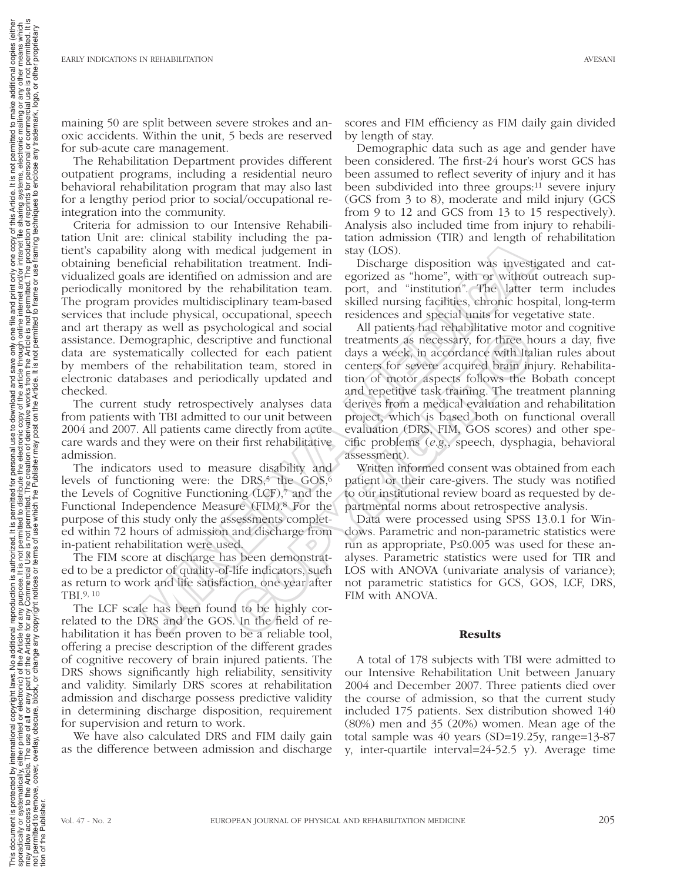maining 50 are split between severe strokes and anoxic accidents. Within the unit, 5 beds are reserved for sub-acute care management.

The Rehabilitation Department provides different outpatient programs, including a residential neuro behavioral rehabilitation program that may also last for a lengthy period prior to social/occupational reintegration into the community.

Criteria for admission to our Intensive Rehabilitation Unit are: clinical stability including the patient's capability along with medical judgement in obtaining beneficial rehabilitation treatment. Individualized goals are identified on admission and are periodically monitored by the rehabilitation team. The program provides multidisciplinary team-based services that include physical, occupational, speech and art therapy as well as psychological and social assistance. Demographic, descriptive and functional data are systematically collected for each patient by members of the rehabilitation team, stored in electronic databases and periodically updated and checked. ... Channel and method in the pisching to particle the field of the sixtern and steps and sixters are identified on admission and are egorized as "home", with or without one is set are including the reduction team. By a s

The current study retrospectively analyses data from patients with TBI admitted to our unit between 2004 and 2007. All patients came directly from acute care wards and they were on their first rehabilitative admission.

The indicators used to measure disability and levels of functioning were: the DRS, $5$  the GOS, $6$ the Levels of Cognitive Functioning (LCF),7 and the Functional Independence Measure (FIM).8 For the purpose of this study only the assessments completed within 72 hours of admission and discharge from in-patient rehabilitation were used.

The FIM score at discharge has been demonstrated to be a predictor of quality-of-life indicators, such as return to work and life satisfaction, one year after TBI.9, 10

The LCF scale has been found to be highly correlated to the DRS and the GOS. In the field of rehabilitation it has been proven to be a reliable tool, offering a precise description of the different grades of cognitive recovery of brain injured patients. The DRS shows significantly high reliability, sensitivity and validity. Similarly DRS scores at rehabilitation admission and discharge possess predictive validity in determining discharge disposition, requirement for supervision and return to work.

We have also calculated DRS and FIM daily gain as the difference between admission and discharge

scores and FIM efficiency as FIM daily gain divided by length of stay.

Demographic data such as age and gender have been considered. The first-24 hour's worst GCS has been assumed to reflect severity of injury and it has been subdivided into three groups:11 severe injury (GCS from 3 to 8), moderate and mild injury (GCS from 9 to 12 and GCS from 13 to 15 respectively). Analysis also included time from injury to rehabilitation admission (TIR) and length of rehabilitation stay (LOS).

Discharge disposition was investigated and categorized as "home", with or without outreach support, and "institution". The latter term includes skilled nursing facilities, chronic hospital, long-term residences and special units for vegetative state.

All patients had rehabilitative motor and cognitive treatments as necessary, for three hours a day, five days a week, in accordance with Italian rules about centers for severe acquired brain injury. Rehabilitation of motor aspects follows the Bobath concept and repetitive task training. The treatment planning derives from a medical evaluation and rehabilitation project, which is based both on functional overall evaluation (DRS, FIM, GOS scores) and other specific problems (*e.g.*, speech, dysphagia, behavioral assessment). molegical and social and ratinents as necessary, for three head for each patient days a week, in accordance with Italion team, stored in centers for severe acquired brain in dically updated and to of motor aspects follows

Written informed consent was obtained from each patient or their care-givers. The study was notified to our institutional review board as requested by departmental norms about retrospective analysis.

Data were processed using SPSS 13.0.1 for Windows. Parametric and non-parametric statistics were run as appropriate, P≤0.005 was used for these analyses. Parametric statistics were used for TIR and LOS with ANOVA (univariate analysis of variance); not parametric statistics for GCS, GOS, LCF, DRS, FIM with ANOVA.

# **Results**

A total of 178 subjects with TBI were admitted to our Intensive Rehabilitation Unit between January 2004 and December 2007. Three patients died over the course of admission, so that the current study included 175 patients. Sex distribution showed 140 (80%) men and 35 (20%) women. Mean age of the total sample was 40 years (SD=19.25y, range=13-87 y, inter-quartile interval=24-52.5 y). Average time

tion of the Publisher.

This document is protected by international copyright laws. No additional editional eportion is authorized. It is permitted for personal use to download and save only one filth and print only one copy of this Article. It i sporadically, eithed or electronic) of the Article for any purpose. It is not permited to either interpric and to distribute the electronic copy of the article internet and/or internet and/or internet alling systems, elect may allow access to the Article. The use of all or any particle for any Commercial Use is not permitted. The creation of derivative works from the Article is not permitted. The production of reprints for personal or commer not permitted to remove, overlay, obscure, block, or change any copyright notices or terms of use or the Publisher may post on the Article. It is not permited to frame or use framing techniques to enclose any trademark, lo

nal reproduction is authorized. It is permitted for personal use to download a<br>for any purpose. It is not permitted to distribute the electronic copy of the according to the state of the st<br>copyright notices or terms of us

pyright laws. No additional relectronic) of the Article for a<br>or any part of the Article for a<br>e, block, or change any copy

/ international copyri<br>either printed or ele<br>e. The use of all or a<br>r, overlay, obscure, b

This document is protected by interesting the sporadically or systematically, eith<br>may allow access to the Article. The may allow access to the Article. The<br>may allow access to the Article. The final of the Publisher.

ad and save only one file a<br>ne article through online int<br>rks from the Article is not p<br>Article. It is not permitted to

permitted. copies means propr

y other m<br>e is not p<br>or other additional

and print only one copy of this Article. It is not permitted to make add<br>internet and/or intranet file sharing systems, electronic mailing or any<br>to frame or use framing techniques to enclose any trademark, logo, o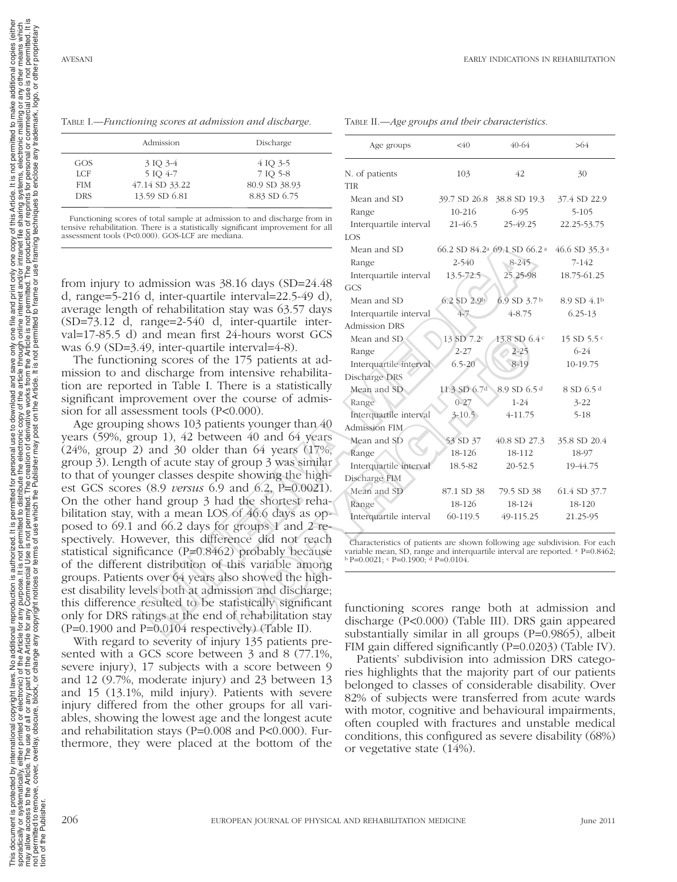Table I.—*Functioning scores at admission and discharge.*

|            | Admission      | Discharge     |
|------------|----------------|---------------|
| GOS        | 3 IQ 3-4       | 4 IQ 3-5      |
| LCF        | 5 IQ 4-7       | 7 IQ 5-8      |
| <b>FIM</b> | 47.14 SD 33.22 | 80.9 SD 38.93 |
| <b>DRS</b> | 13.59 SD 6.81  | 8.83 SD 6.75  |

 Functioning scores of total sample at admission to and discharge from in tensive rehabilitation. There is a statistically significant improvement for all assessment tools (P<0.000). GOS-LCF are mediana.

from injury to admission was 38.16 days (SD=24.48 d, range=5-216 d, inter-quartile interval=22.5-49 d), average length of rehabilitation stay was 63.57 days (SD=73.12 d, range=2-540 d, inter-quartile interval=17-85.5 d) and mean first 24-hours worst GCS was 6.9 (SD=3.49, inter-quartile interval=4-8).

The functioning scores of the 175 patients at admission to and discharge from intensive rehabilitation are reported in Table I. There is a statistically significant improvement over the course of admission for all assessment tools (P<0.000).

Age grouping shows 103 patients younger than 40 years (59%, group 1), 42 between 40 and 64 years (24%, group 2) and 30 older than 64 years (17%, group 3). Length of acute stay of group 3 was similar to that of younger classes despite showing the highest GCS scores (8.9 *versus* 6.9 and 6.2, P=0.0021). On the other hand group 3 had the shortest rehabilitation stay, with a mean LOS of 46.6 days as opposed to 69.1 and 66.2 days for groups 1 and 2 respectively. However, this difference did not reach statistical significance (P=0.8462) probably because of the different distribution of this variable among groups. Patients over 64 years also showed the highest disability levels both at admission and discharge; this difference resulted to be statistically significant only for DRS ratings at the end of rehabilitation stay  $(P=0.1900$  and  $P=0.0104$  respectively) (Table II). assessment tools (Pe0.000). The matrix (Penality of the different tools (Ped.000). This are a static difference of the control of the matrix (SDI-24.48) (SDI-73.12 d, range=5-216 d, inter-quaritie interval =22.5-49 d). Mi

With regard to severity of injury 135 patients presented with a GCS score between 3 and 8 (77.1%, severe injury), 17 subjects with a score between 9 and 12 (9.7%, moderate injury) and 23 between 13 and 15 (13.1%, mild injury). Patients with severe injury differed from the other groups for all variables, showing the lowest age and the longest acute and rehabilitation stays (P=0.008 and P<0.000). Furthermore, they were placed at the bottom of the

| Discharge                                                                                                              | Age groups                                                                                                                                                                                                         | $<\!\!40$    | $40 - 64$                                           | >64                       |
|------------------------------------------------------------------------------------------------------------------------|--------------------------------------------------------------------------------------------------------------------------------------------------------------------------------------------------------------------|--------------|-----------------------------------------------------|---------------------------|
| 4 IQ 3-5<br>7 IQ 5-8<br>80.9 SD 38.93                                                                                  | N. of patients<br><b>TIR</b>                                                                                                                                                                                       | 103          | 42                                                  | 30                        |
| 8.83 SD 6.75                                                                                                           | Mean and SD                                                                                                                                                                                                        | 39.7 SD 26.8 | 38.8 SD 19.3                                        | 37.4 SD 22.9              |
| sion to and discharge from in<br>gnificant improvement for all<br>iana.                                                | Range                                                                                                                                                                                                              | 10-216       | $6 - 95$                                            | $5 - 105$                 |
|                                                                                                                        | Interquartile interval<br>LOS                                                                                                                                                                                      | $21 - 46.5$  | 25-49.25                                            | 22.25-53.75               |
|                                                                                                                        | Mean and SD                                                                                                                                                                                                        |              | 66.2 SD 84.2 <sup>a</sup> 69.1 SD 66.2 <sup>a</sup> | 46.6 SD 35.3 <sup>a</sup> |
|                                                                                                                        | Range                                                                                                                                                                                                              | 2-540        | $8-245$                                             | $7 - 142$                 |
| 8.16 days (SD=24.48                                                                                                    | Interquartile interval<br>GCS                                                                                                                                                                                      | 13.5-72.5    | 25.25-98                                            | 18.75-61.25               |
| interval= $22.5-49$ d),                                                                                                | Mean and SD                                                                                                                                                                                                        | 6.2 SD 2.9b  | 6.9 SD 3.7 <sup>b</sup>                             | 8.9 SD 4.1b               |
| stay was 63.57 days                                                                                                    | Interquartile interval                                                                                                                                                                                             | 4-7          | $4 - 8.75$                                          | $6.25 - 13$               |
| inter-quartile inter-                                                                                                  | <b>Admission DRS</b>                                                                                                                                                                                               |              |                                                     |                           |
| 24-hours worst GCS                                                                                                     | Mean and SD.                                                                                                                                                                                                       | 13 SD 7.2c   | 13.8 SD 6.4 c                                       | 15 SD $5.5c$              |
| interval=4-8).                                                                                                         | Range                                                                                                                                                                                                              | $2 - 27$     | $2 - 25$                                            | $6 - 24$                  |
| e 175 patients at ad-                                                                                                  | Interquartile interval                                                                                                                                                                                             | $6.5 - 20$   | $8 - 19$                                            | 10-19.75                  |
| intensive rehabilita-                                                                                                  | Discharge DRS                                                                                                                                                                                                      |              |                                                     |                           |
| nere is a statistically                                                                                                | Mean and SD                                                                                                                                                                                                        | 11.3 SD 6.7d | 8.9 SD 6.5 <sup>d</sup>                             | 8 SD 6.5 <sup>d</sup>     |
| ne course of admis-                                                                                                    | Range                                                                                                                                                                                                              | $0 - 27$     | $1 - 24$                                            | $3 - 22$                  |
| (0.000).                                                                                                               | Interquartile interval                                                                                                                                                                                             | $3 - 10.5$   | 4-11.75                                             | $5 - 18$                  |
| ents younger than 40                                                                                                   | <b>Admission FIM</b>                                                                                                                                                                                               |              |                                                     |                           |
| een 40 and 64 years                                                                                                    | Mean and SD                                                                                                                                                                                                        | 53 SD 37     | 40.8 SD 27.3                                        | 35.8 SD 20.4              |
| han 64 years (17%,                                                                                                     | Range                                                                                                                                                                                                              | 18-126       | 18-112                                              | 18-97                     |
| group 3 was similar                                                                                                    | Interquartile interval                                                                                                                                                                                             | 18.5-82      | $20 - 52.5$                                         | 19-44.75                  |
| e showing the high-                                                                                                    | Discharge FIM                                                                                                                                                                                                      |              |                                                     |                           |
| and $6.2$ , P= $0.0021$ ).                                                                                             | Mean and SD                                                                                                                                                                                                        | 87.1 SD 38   | 79.5 SD 38                                          | 61.4 SD 37.7              |
| d the shortest reha-                                                                                                   | Range                                                                                                                                                                                                              | 18-126       | 18-124                                              | 18-120                    |
| of 46.6 days as op-<br>groups 1 and 2 re-                                                                              | Interquartile interval                                                                                                                                                                                             | 60-119.5     | 49-115.25                                           | 21.25-95                  |
| ence did not reach<br>2) probably because<br>this variable among                                                       | Characteristics of patients are shown following age subdivision. For each<br>variable mean, SD, range and interquartile interval are reported. <sup>a</sup> P=0.8462;<br>$b$ P=0.0021; $c$ P=0.1900; $d$ P=0.0104. |              |                                                     |                           |
| so showed the high-<br>ssion and discharge;<br>atistically significant<br>of rehabilitation stay<br>ively) (Table II). | functioning scores range both at admission and<br>discharge (P<0.000) (Table III). DRS gain appeared<br>substantially similar in all groups (P=0.9865), albeit                                                     |              |                                                     |                           |

Table II.—*Age groups and their characteristics.*

functioning scores range both at admission and discharge (P<0.000) (Table III). DRS gain appeared substantially similar in all groups (P=0.9865), albeit FIM gain differed significantly (P=0.0203) (Table IV).

Patients' subdivision into admission DRS categories highlights that the majority part of our patients belonged to classes of considerable disability. Over 82% of subjects were transferred from acute wards with motor, cognitive and behavioural impairments, often coupled with fractures and unstable medical conditions, this configured as severe disability (68%) or vegetative state (14%).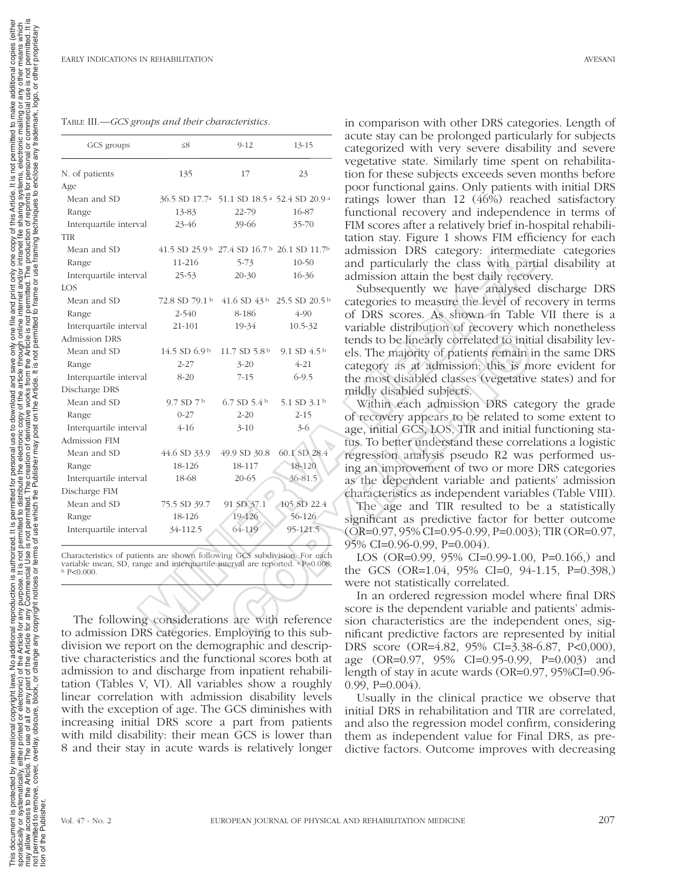#### Table III.—*GCS groups and their characteristics.*

|                                                                                                                                                                             |                            |                                                                                  |                                                                               | acute stay can be prolonged particul:                                          |
|-----------------------------------------------------------------------------------------------------------------------------------------------------------------------------|----------------------------|----------------------------------------------------------------------------------|-------------------------------------------------------------------------------|--------------------------------------------------------------------------------|
| GCS groups                                                                                                                                                                  | $\leq 8$                   | $9 - 12$                                                                         | $13 - 15$                                                                     | categorized with very severe disabi                                            |
| N. of patients                                                                                                                                                              | 135                        | 17                                                                               | 23                                                                            | vegetative state. Similarly time spen<br>tion for these subjects exceeds seven |
| Age                                                                                                                                                                         |                            |                                                                                  |                                                                               | poor functional gains. Only patients                                           |
| Mean and SD                                                                                                                                                                 |                            |                                                                                  | 36.5 SD 17.7 <sup>a</sup> 51.1 SD 18.5 <sup>a</sup> 52.4 SD 20.9 <sup>a</sup> | ratings lower than 12 (46%) reach                                              |
| Range                                                                                                                                                                       | 13-83                      | 22-79                                                                            | 16-87                                                                         | functional recovery and independer                                             |
| Interquartile interval                                                                                                                                                      | 23-46                      | 39-66                                                                            | $35 - 70$                                                                     | FIM scores after a relatively brief in-h                                       |
| <b>TIR</b>                                                                                                                                                                  |                            |                                                                                  |                                                                               | tation stay. Figure 1 shows FIM effic                                          |
| Mean and SD                                                                                                                                                                 |                            | 41.5 SD 25.9 $\frac{1}{2}$ 27.4 SD 16.7 $\frac{1}{2}$ 26.1 SD 11.7 $\frac{1}{2}$ |                                                                               | admission DRS category: intermed                                               |
| Range                                                                                                                                                                       | 11-216                     | $5 - 73$                                                                         | $10-50$                                                                       | and particularly the class with part                                           |
| Interquartile interval                                                                                                                                                      | $25 - 53$                  | $20 - 30$                                                                        | 16-36                                                                         | admission attain the best daily recov                                          |
| LOS                                                                                                                                                                         |                            |                                                                                  |                                                                               | Subsequently we have analysed                                                  |
| Mean and SD                                                                                                                                                                 |                            |                                                                                  | 72.8 SD 79.1 b 41.6 SD 43 b 25.5 SD 20.5 b                                    | categories to measure the level of re                                          |
| Range                                                                                                                                                                       | $2 - 540$                  | 8-186                                                                            | $4 - 90$                                                                      | of DRS scores. As shown in Table                                               |
| Interquartile interval                                                                                                                                                      | 21-101                     | 19-34                                                                            | 10.5-32                                                                       | variable distribution of recovery wh                                           |
| <b>Admission DRS</b>                                                                                                                                                        |                            |                                                                                  |                                                                               | tends to be linearly correlated to initi                                       |
| Mean and SD                                                                                                                                                                 | $14.5$ SD 6.9 <sup>b</sup> | 11.7 SD 5.8 $^{\rm b}$                                                           | 9.1 SD $4.5b$                                                                 | els. The majority of patients remain in                                        |
| Range                                                                                                                                                                       | $2 - 27$                   | $3 - 20$                                                                         | $4 - 21$                                                                      | category as at admission; this is m                                            |
| Interquartile interval                                                                                                                                                      | $8 - 20$                   | $7 - 15$                                                                         | $6 - 9.5$                                                                     | the most disabled classes (vegetative                                          |
| Discharge DRS                                                                                                                                                               |                            |                                                                                  |                                                                               | mildly disabled subjects.                                                      |
| Mean and SD                                                                                                                                                                 | 9.7SD7 <sup>b</sup>        | 6.7 SD $5.4b$                                                                    | 5.1 SD 3.1 <sup>b</sup>                                                       | Within each admission DRS cate                                                 |
| Range                                                                                                                                                                       | $0 - 27$                   | $2 - 20$                                                                         | $2 - 15$                                                                      | of recovery appears to be related to                                           |
| Interquartile interval                                                                                                                                                      | $4 - 16$                   | $3 - 10$                                                                         | $3-6$                                                                         | age, initial GCS, LOS, TIR and initial                                         |
| Admission FIM                                                                                                                                                               |                            |                                                                                  |                                                                               | tus. To better understand these correl                                         |
| Mean and SD                                                                                                                                                                 | 44.6 SD 33.9               | 49.9 SD 30.8                                                                     | 60.1 SD 28.4                                                                  | regression analysis pseudo R2 was                                              |
| Range                                                                                                                                                                       | 18-126                     | 18-117                                                                           | 18-120                                                                        | ing an improvement of two or more                                              |
| Interquartile interval                                                                                                                                                      | 18-68                      | $20 - 65$                                                                        | 36-81.5                                                                       | as the dependent variable and pati-                                            |
| Discharge FIM                                                                                                                                                               |                            |                                                                                  |                                                                               | characteristics as independent variab                                          |
| Mean and SD                                                                                                                                                                 | 75.5 SD 39.7               | 91 SD 37.1                                                                       | 105 SD 22.4                                                                   | The age and TIR resulted to be                                                 |
| Range                                                                                                                                                                       | 18-126                     | 19-126                                                                           | 56-126                                                                        | significant as predictive factor for                                           |
| Interquartile interval                                                                                                                                                      | 34-112.5                   | 64-119                                                                           | 95-121.5                                                                      | $(OR=0.97, 95\% CI=0.95-0.99, P=0.003)$                                        |
|                                                                                                                                                                             |                            |                                                                                  |                                                                               | 95% CI=0.96-0.99, P=0.004).                                                    |
| Characteristics of patients are shown following GCS subdivision. For each<br>variable mean, SD, range and interquartile interval are reported. $a$ P=0.008;<br>$b$ P<0.000. |                            |                                                                                  |                                                                               | LOS (OR=0.99, 95% CI=0.99-1.00,<br>the GCS (OR=1.04, 95% CI=0, 94-             |
|                                                                                                                                                                             |                            |                                                                                  |                                                                               | were not statistically correlated.                                             |
|                                                                                                                                                                             |                            |                                                                                  |                                                                               | In an ordered regression model w                                               |
|                                                                                                                                                                             |                            |                                                                                  |                                                                               | score is the dependent variable and                                            |
| The following considerations are with reference                                                                                                                             |                            |                                                                                  |                                                                               | sion characteristics are the indepen                                           |
| to admission DRS categories. Employing to this sub-                                                                                                                         |                            |                                                                                  |                                                                               | nificant predictive factors are repres                                         |

The following considerations are with reference to admission DRS categories. Employing to this subdivision we report on the demographic and descriptive characteristics and the functional scores both at admission to and discharge from inpatient rehabilitation (Tables V, VI). All variables show a roughly linear correlation with admission disability levels with the exception of age. The GCS diminishes with increasing initial DRS score a part from patients with mild disability: their mean GCS is lower than 8 and their stay in acute wards is relatively longer in comparison with other DRS categories. Length of acute stay can be prolonged particularly for subjects categorized with very severe disability and severe vegetative state. Similarly time spent on rehabilitation for these subjects exceeds seven months before poor functional gains. Only patients with initial DRS ratings lower than 12 (46%) reached satisfactory functional recovery and independence in terms of FIM scores after a relatively brief in-hospital rehabilitation stay. Figure 1 shows FIM efficiency for each admission DRS category: intermediate categories and particularly the class with partial disability at admission attain the best daily recovery.

Subsequently we have analysed discharge DRS categories to measure the level of recovery in terms of DRS scores. As shown in Table VII there is a variable distribution of recovery which nonetheless tends to be linearly correlated to initial disability levels. The majority of patients remain in the same DRS category as at admission; this is more evident for the most disabled classes (vegetative states) and for mildly disabled subjects.

Within each admission DRS category the grade of recovery appears to be related to some extent to age, initial GCS, LOS, TIR and initial functioning status. To better understand these correlations a logistic regression analysis pseudo R2 was performed using an improvement of two or more DRS categories as the dependent variable and patients' admission characteristics as independent variables (Table VIII).

The age and TIR resulted to be a statistically significant as predictive factor for better outcome (OR=0.97, 95% CI=0.95-0.99, P=0.003); TIR (OR=0.97, 95% CI=0.96-0.99, P=0.004).

LOS (OR=0.99, 95% CI=0.99-1.00, P=0.166,) and the GCS (OR=1.04, 95% CI=0, 94-1.15, P=0.398,) were not statistically correlated.

In an ordered regression model where final DRS score is the dependent variable and patients' admission characteristics are the independent ones, significant predictive factors are represented by initial DRS score (OR=4.82, 95% CI=3.38-6.87, P<0,000), age (OR=0.97, 95% CI=0.95-0.99, P=0.003) and length of stay in acute wards (OR=0.97, 95%CI=0.96-  $0.99, P=0.004$ ).

Usually in the clinical practice we observe that initial DRS in rehabilitation and TIR are correlated, and also the regression model confirm, considering them as independent value for Final DRS, as predictive factors. Outcome improves with decreasing

tion of the Publisher.

This may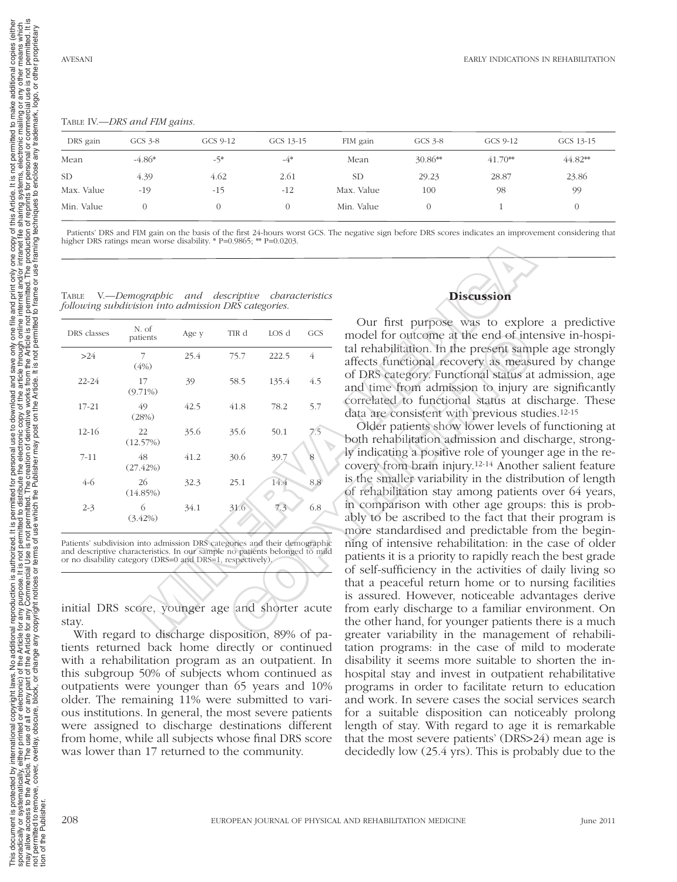additional copies other  $\overline{6}$  $\overline{a}$ any use

or commercial us<br>trademark, logo, permitted to make mailing or

one copy of this Article. It is not permitte<br>intranet file sharing systems, electronic<br>production of reprints for personal or co<br>a framing techniques to enclose any trac

e and print only on<br>internet and/or int<br>ot permitted. The pr<br>i to frame or use fr

This document is protected by international copyright laws. No additional editional eportion is authorized. It is permitted for personal use to download and save only one filth and print only one copy of this Article. It i sporadically, eithed or electronic) of the Article for any purpose. It is not permited to either interpric and to distribute the electronic copy of the article internet and/or internet and/or internet alling systems, elect may allow access to the Article. The use of all or any particle for any Commercial Use is not permitted. The creation of derivative works from the Article is not permitted. The production of reprints for personal or commer not permitted to remove, overlay, obscure, block, or change any copyright notices or terms of use or the Publisher may post on the Article. It is not permited to frame or use framing techniques to enclose any trademark, lo

d. It is permitted for personal use to download and save only one file a<br>email of the distribute the electronic copy of the article through online in<br>of use which the Publisher may post on the Article. It is not permitted

t permitted to<br>is not perm<br>ns of use whi

purpose. It is r<br>Commercial U<br>ht notices or te ്

c) of the Article for any put<br>art of the Article for any Co<br>or change any copyright i No additional

y international copyright laws.<br>, either printed or electronic) o<br>le. The use of all or any part of<br>эr, overlay, obscure, block, or c

This document is protected by interesting the spectrum of the state of the Article. The many allow access to the Article. The first of the Publisher.

iki<br>This nay

authorized. s not pe<br>Use is<br>terms o

reproduction

laws.

## Table IV.—*DRS and FIM gains.*

| DRS gain   | GCS $3-8$ | GCS 9-12 | GCS 13-15 | FIM gain   | GCS 3-8   | GCS 9-12  | GCS 13-15 |
|------------|-----------|----------|-----------|------------|-----------|-----------|-----------|
| Mean       | $-4.86*$  | -5*      | $-4*$     | Mean       | $30.86**$ | $41.70**$ | $44.82**$ |
| <b>SD</b>  | 4.39      | 4.62     | 2.61      | <b>SD</b>  | 29.23     | 28.87     | 23.86     |
| Max. Value | $-19$     | $-15$    | $-12$     | Max. Value | 100       | 98        | 99        |
| Min. Value |           |          |           | Min. Value |           |           |           |

 Patients' DRS and FIM gain on the basis of the first 24-hours worst GCS. The negative sign before DRS scores indicates an improvement considering that higher DRS ratings mean worse disability. \* P=0.9865; \*\* P=0.0203.

| higher DRS ratings mean worse disability. $P=0.9865$ ; $\approx P=0.0203$ .<br><b>TABLE</b><br>following subdivision into admission DRS categories.                                                                    | V.—Demographic and descriptive characteristics |       |       |       |                | <b>Discussion</b>                                                                                                                                                                                                |
|------------------------------------------------------------------------------------------------------------------------------------------------------------------------------------------------------------------------|------------------------------------------------|-------|-------|-------|----------------|------------------------------------------------------------------------------------------------------------------------------------------------------------------------------------------------------------------|
| DRS classes                                                                                                                                                                                                            | N. of<br>patients                              | Age y | TIR d | LOS d | <b>GCS</b>     | Our first purpose was to explo<br>model for outcome at the end of inte                                                                                                                                           |
| >24                                                                                                                                                                                                                    | 7<br>(4% )                                     | 25.4  | 75.7  | 222.5 | $\overline{4}$ | tal rehabilitation. In the present samp<br>affects functional recovery as measu                                                                                                                                  |
| $22 - 24$                                                                                                                                                                                                              | 17<br>$(9.71\%)$                               | 39    | 58.5  | 135.4 | 4.5            | of DRS category. Functional status at<br>and time from admission to injury a                                                                                                                                     |
| $17 - 21$                                                                                                                                                                                                              | 49<br>(28%)                                    | 42.5  | 41.8  | 78.2  | 5.7            | correlated to functional status at di<br>data are consistent with previous stu                                                                                                                                   |
| $12 - 16$                                                                                                                                                                                                              | 22<br>(12.57%)                                 | 35.6  | 35.6  | 50.1  | 7.5            | Older patients show lower levels of<br>both rehabilitation admission and dis                                                                                                                                     |
| $7 - 11$                                                                                                                                                                                                               | 48<br>(27.42%)                                 | 41.2  | 30.6  | 39.7  | 8              | ly indicating a positive role of young<br>covery from brain injury. <sup>12-14</sup> Anothe                                                                                                                      |
| $4-6$                                                                                                                                                                                                                  | 26<br>(14.85%)                                 | 32.3  | 25.1  | 14.4  | 8.8            | is the smaller variability in the distributed is the smaller variability in the distributed is the strike<br>of rehabilitation stay among patients                                                               |
| $2 - 3$                                                                                                                                                                                                                | 6<br>$(3.42\%)$                                | 34.1  | 31.6  | 7.3   | 6.8            | in comparison with other age group<br>ably to be ascribed to the fact that t<br>more standardised and predictable f                                                                                              |
| Patients' subdivision into admission DRS categories and their demographic<br>and descriptive characteristics. In our sample no patients belonged to mild<br>or no disability category (DRS=0 and DRS=1, respectively). |                                                |       |       |       |                | ning of intensive rehabilitation: in the<br>patients it is a priority to rapidly reacl<br>of self-sufficiency in the activities of<br>that a peaceful return home or to r<br>is assured. However, noticeable adv |
| initial DRS score, younger age and shorter acute<br>stay.                                                                                                                                                              | With regard to discharge disposition 80% of pa |       |       |       |                | from early discharge to a familiar er<br>the other hand, for younger patients<br>greater variability in the managemy                                                                                             |

With regard to discharge disposition, 89% of patients returned back home directly or continued with a rehabilitation program as an outpatient. In this subgroup 50% of subjects whom continued as outpatients were younger than 65 years and 10% older. The remaining 11% were submitted to various institutions. In general, the most severe patients were assigned to discharge destinations different from home, while all subjects whose final DRS score was lower than 17 returned to the community.



Our first purpose was to explore a predictive model for outcome at the end of intensive in-hospital rehabilitation. In the present sample age strongly affects functional recovery as measured by change of DRS category. Functional status at admission, age and time from admission to injury are significantly correlated to functional status at discharge. These data are consistent with previous studies.12-15

Older patients show lower levels of functioning at both rehabilitation admission and discharge, strongly indicating a positive role of younger age in the recovery from brain injury.12-14 Another salient feature is the smaller variability in the distribution of length of rehabilitation stay among patients over 64 years, in comparison with other age groups: this is probably to be ascribed to the fact that their program is more standardised and predictable from the beginning of intensive rehabilitation: in the case of older patients it is a priority to rapidly reach the best grade of self-sufficiency in the activities of daily living so that a peaceful return home or to nursing facilities is assured. However, noticeable advantages derive from early discharge to a familiar environment. On the other hand, for younger patients there is a much greater variability in the management of rehabilitation programs: in the case of mild to moderate disability it seems more suitable to shorten the inhospital stay and invest in outpatient rehabilitative programs in order to facilitate return to education and work. In severe cases the social services search for a suitable disposition can noticeably prolong length of stay. With regard to age it is remarkable that the most severe patients' (DRS>24) mean age is decidedly low (25.4 yrs). This is probably due to the TRA LOS decision and the end of interesting and the state of DRS category. Functional recovery as measured at the present same and time from admission to injury and the form admission to injury is correlated to functional

tion of the Publisher.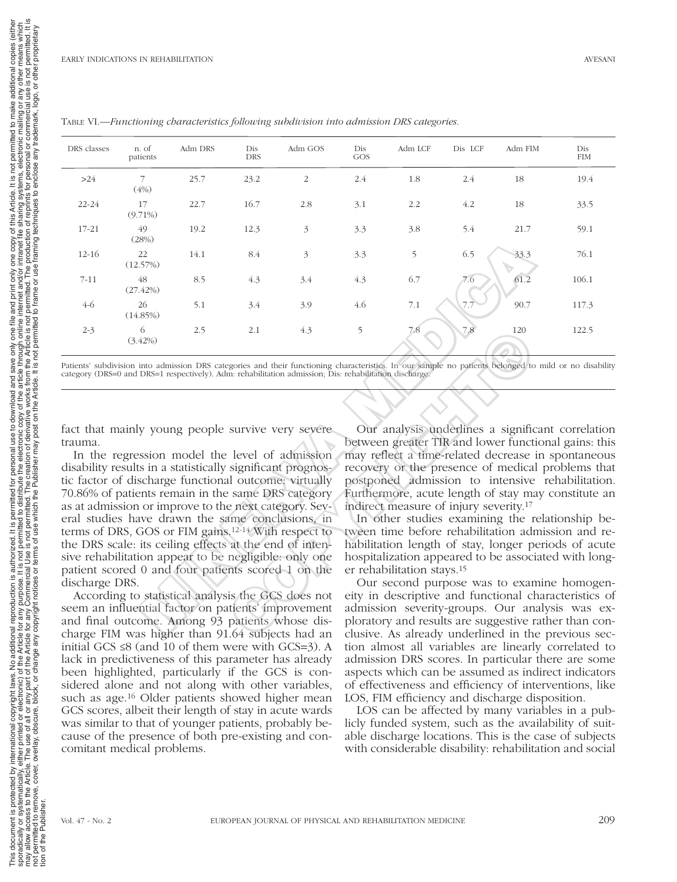| DRS classes    | n. of<br>patients | Adm DRS | Dis<br>DRS | Adm GOS                                                                                                                                                                                                                                  | Dis<br>GOS | Adm LCF                                            | Dis LCF | Adm FIM | Dis<br><b>FIM</b>                                                                                                                                                                                                     |
|----------------|-------------------|---------|------------|------------------------------------------------------------------------------------------------------------------------------------------------------------------------------------------------------------------------------------------|------------|----------------------------------------------------|---------|---------|-----------------------------------------------------------------------------------------------------------------------------------------------------------------------------------------------------------------------|
| >24            | 7<br>(4%)         | 25.7    | 23.2       | 2                                                                                                                                                                                                                                        | 2.4        | 1.8                                                | 2.4     | 18      | 19.4                                                                                                                                                                                                                  |
| 22-24          | 17<br>$(9.71\%)$  | 22.7    | 16.7       | 2.8                                                                                                                                                                                                                                      | 3.1        | 2.2                                                | 4.2     | 18      | 33.5                                                                                                                                                                                                                  |
| 17-21          | 49<br>(28%)       | 19.2    | 12.3       | 3                                                                                                                                                                                                                                        | 3.3        | 3.8                                                | 5.4     | 21.7    | 59.1                                                                                                                                                                                                                  |
| 12-16          | 22<br>(12.57%)    | 14.1    | 8.4        | 3                                                                                                                                                                                                                                        | 3.3        | 5                                                  | 6.5     | 33.3    | 76.1                                                                                                                                                                                                                  |
| $7 - 11$       | 48<br>(27.42%)    | 8.5     | 4.3        | 3.4                                                                                                                                                                                                                                      | 4.3        | 6.7                                                | 7.6     | 61.2    | 106.1                                                                                                                                                                                                                 |
| $4-6$          | 26<br>(14.85%)    | 5.1     | 3.4        | 3.9                                                                                                                                                                                                                                      | 4.6        | 7.1                                                | 7.7     | 90.7    | 117.3                                                                                                                                                                                                                 |
| $2 - 3$        | 6<br>$(3.42\%)$   | 2.5     | 2.1        | 4.3                                                                                                                                                                                                                                      | 5          | 7.8                                                | 7.8     | 120     | 122.5                                                                                                                                                                                                                 |
|                |                   |         |            |                                                                                                                                                                                                                                          |            |                                                    |         |         |                                                                                                                                                                                                                       |
| trauma.        |                   |         |            | fact that mainly young people survive very severe<br>In the regression model the level of admission                                                                                                                                      |            |                                                    |         |         | Our analysis underlines a significant correlation<br>between greater TIR and lower functional gains: this<br>may reflect a time-related decrease in spontaneous                                                       |
|                |                   |         |            | disability results in a statistically significant prognos-                                                                                                                                                                               |            |                                                    |         |         | recovery or the presence of medical problems that                                                                                                                                                                     |
|                |                   |         |            | tic factor of discharge functional outcome: virtually<br>70.86% of patients remain in the same DRS category<br>as at admission or improve to the next category. Sev-                                                                     |            | indirect measure of injury severity. <sup>17</sup> |         |         | postponed admission to intensive rehabilitation.<br>Furthermore, acute length of stay may constitute an                                                                                                               |
|                |                   |         |            | eral studies have drawn the same conclusions, in<br>terms of DRS, GOS or FIM gains. <sup>12-14</sup> With respect to<br>the DRS scale: its ceiling effects at the end of inten-<br>sive rehabilitation appear to be negligible: only one |            |                                                    |         |         | In other studies examining the relationship be-<br>tween time before rehabilitation admission and re-<br>habilitation length of stay, longer periods of acute<br>hospitalization appeared to be associated with long- |
|                |                   |         |            | patient scored 0 and four patients scored 1 on the                                                                                                                                                                                       |            | er rehabilitation stays. <sup>15</sup>             |         |         |                                                                                                                                                                                                                       |
| discharge DRS. |                   |         |            | According to statistical analysis the GCS does not                                                                                                                                                                                       |            |                                                    |         |         | Our second purpose was to examine homogen-<br>eity in descriptive and functional characteristics of                                                                                                                   |
|                |                   |         |            | seem an influential factor on patients' improvement<br>and final outcome. Among 93 patients whose dis-<br>charge FIM was higher than 01.64 subjects had an                                                                               |            |                                                    |         |         | admission severity-groups. Our analysis was ex-<br>ploratory and results are suggestive rather than con-<br>clusive As already underlined in the previous sec-                                                        |

Table VI.—*Functioning characteristics following subdivision into admission DRS categories.*

According to statistical analysis the GCS does not seem an influential factor on patients' improvement and final outcome. Among 93 patients whose discharge FIM was higher than 91.64 subjects had an initial GCS ≤8 (and 10 of them were with GCS=3). A lack in predictiveness of this parameter has already been highlighted, particularly if the GCS is considered alone and not along with other variables, such as age.16 Older patients showed higher mean GCS scores, albeit their length of stay in acute wards was similar to that of younger patients, probably because of the presence of both pre-existing and concomitant medical problems.

Our second purpose was to examine homogeneity in descriptive and functional characteristics of admission severity-groups. Our analysis was exploratory and results are suggestive rather than conclusive. As already underlined in the previous section almost all variables are linearly correlated to admission DRS scores. In particular there are some aspects which can be assumed as indirect indicators of effectiveness and efficiency of interventions, like LOS, FIM efficiency and discharge disposition.

LOS can be affected by many variables in a publicly funded system, such as the availability of suitable discharge locations. This is the case of subjects with considerable disability: rehabilitation and social

tion of the Publisher.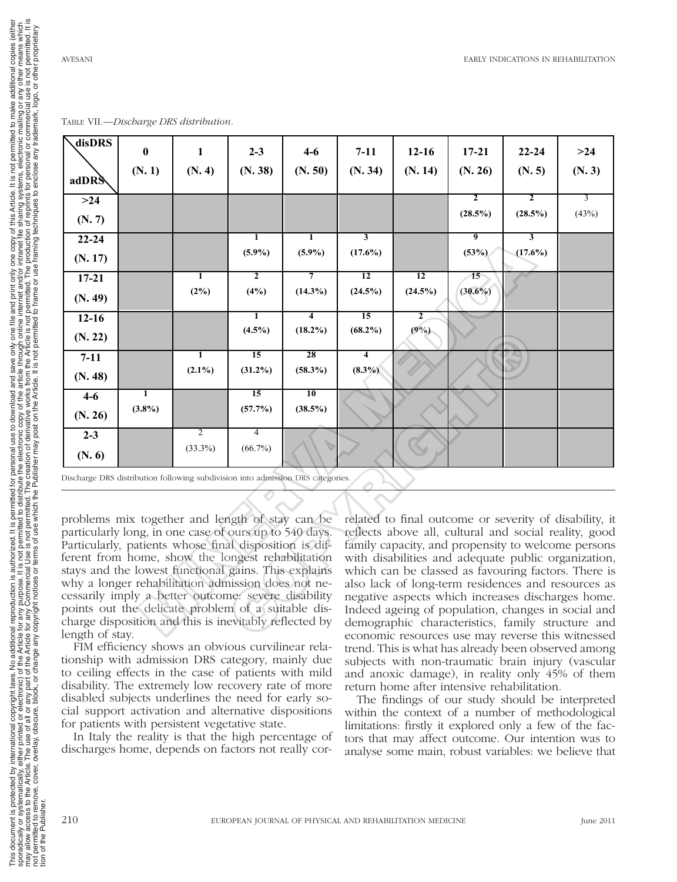not permitted.<br>other proprieta

and print only one copy of this Article. It is not permitted to make additional and print and the starting or a<br>internet and/or intranet file sharing systems, electronic mailing or an<br>to frame or use framing techniques to

additional copies other<br>is not  $\overline{a}$ esni<br>Se any

| disDRS                                                                                                       | $\bf{0}$  | 1              | $2 - 3$        | $4 - 6$        | $7 - 11$                | $12-16$        | $17 - 21$  | $22 - 24$               | $>24$                                                                                                           |
|--------------------------------------------------------------------------------------------------------------|-----------|----------------|----------------|----------------|-------------------------|----------------|------------|-------------------------|-----------------------------------------------------------------------------------------------------------------|
| adDRS                                                                                                        | (N. 1)    | (N. 4)         | (N. 38)        | (N. 50)        | (N. 34)                 | (N. 14)        | (N. 26)    | (N.5)                   | (N. 3)                                                                                                          |
| $>24$                                                                                                        |           |                |                |                |                         |                | 2          | $\overline{2}$          | 3                                                                                                               |
| (N. 7)                                                                                                       |           |                |                |                |                         |                | (28.5%)    | (28.5%)                 | (43%)                                                                                                           |
| $22 - 24$                                                                                                    |           |                | 1              | 1              | $\overline{\mathbf{3}}$ |                | 9          | $\overline{\mathbf{3}}$ |                                                                                                                 |
| (N. 17)                                                                                                      |           |                | $(5.9\%)$      | $(5.9\%)$      | $(17.6\%)$              |                | (53%)      | $(17.6\%)$              |                                                                                                                 |
| $17 - 21$                                                                                                    |           | T              | $\overline{2}$ | 7              | $\overline{12}$         | 12             | 15         |                         |                                                                                                                 |
| (N. 49)                                                                                                      |           | (2%)           | (4%)           | $(14.3\%)$     | $(24.5\%)$              | $(24.5\%)$     | $(30.6\%)$ |                         |                                                                                                                 |
| $12 - 16$                                                                                                    |           |                | T              | $\overline{4}$ | $\overline{15}$         | $\overline{2}$ |            |                         |                                                                                                                 |
| (N. 22)                                                                                                      |           |                | $(4.5\%)$      | $(18.2\%)$     | $(68.2\%)$              | (9%)           |            |                         |                                                                                                                 |
| $7 - 11$                                                                                                     |           | T              | 15             | 28             | 4                       |                |            |                         |                                                                                                                 |
| (N. 48)                                                                                                      |           | $(2.1\%)$      | $(31.2\%)$     | $(58.3\%)$     | $(8.3\%)$               |                |            |                         |                                                                                                                 |
|                                                                                                              |           |                |                | 10             |                         |                |            |                         |                                                                                                                 |
| $4 - 6$                                                                                                      | 1         |                | 15             |                |                         |                |            |                         |                                                                                                                 |
| (N. 26)                                                                                                      | $(3.8\%)$ |                | (57.7%)        | $(38.5\%)$     |                         |                |            |                         |                                                                                                                 |
| $2 - 3$                                                                                                      |           | $\overline{2}$ | 4              |                |                         |                |            |                         |                                                                                                                 |
| (N. 6)                                                                                                       |           | $(33.3\%)$     | $(66.7\%)$     |                |                         |                |            |                         |                                                                                                                 |
| Discharge DRS distribution following subdivision into admission DRS categories.                              |           |                |                |                |                         |                |            |                         |                                                                                                                 |
|                                                                                                              |           |                |                |                |                         |                |            |                         |                                                                                                                 |
| problems mix together and length of stay can be<br>particularly long, in one case of ours up to 540 days.    |           |                |                |                |                         |                |            |                         | related to final outcome or severity of disability, in<br>reflects above all, cultural and social reality, good |
| Particularly, patients whose final disposition is dif-<br>ferent from home, show the longest rehabilitation  |           |                |                |                |                         |                |            |                         | family capacity, and propensity to welcome persons<br>with disabilities and adequate public organization        |
|                                                                                                              |           |                |                |                |                         |                |            |                         | which can be classed as favouring factors. There is                                                             |
| stays and the lowest functional gains. This explains<br>why a longer rehabilitation admission does not ne-   |           |                |                |                |                         |                |            |                         | also lack of long-term residences and resources as                                                              |
| cessarily imply a better outcome: severe disability                                                          |           |                |                |                |                         |                |            |                         | negative aspects which increases discharges home                                                                |
| points out the delicate problem of a suitable dis-<br>charge disposition and this is inevitably reflected by |           |                |                |                |                         |                |            |                         | Indeed ageing of population, changes in social and<br>demographic characteristics, family structure and         |

Table VII.—*Discharge DRS distribution.*

FIM efficiency shows an obvious curvilinear relationship with admission DRS category, mainly due to ceiling effects in the case of patients with mild disability. The extremely low recovery rate of more disabled subjects underlines the need for early social support activation and alternative dispositions for patients with persistent vegetative state.

In Italy the reality is that the high percentage of discharges home, depends on factors not really cor-

related to final outcome or severity of disability, it reflects above all, cultural and social reality, good family capacity, and propensity to welcome persons with disabilities and adequate public organization, which can be classed as favouring factors. There is also lack of long-term residences and resources as negative aspects which increases discharges home. Indeed ageing of population, changes in social and demographic characteristics, family structure and economic resources use may reverse this witnessed trend. This is what has already been observed among subjects with non-traumatic brain injury (vascular and anoxic damage), in reality only 45% of them return home after intensive rehabilitation.

The findings of our study should be interpreted within the context of a number of methodological limitations: firstly it explored only a few of the factors that may affect outcome. Our intention was to analyse some main, robust variables: we believe that

tion of the Publisher.

his document is protected by intervals document is protected by intervalsed and allow access to the Article. The Article of the Publisher.

**This** nay<br>not j

This document is protected by international copyright laws. No additional editional eportion is authorized. It is permitted for personal use to download and save only one filth and print only one copy of this Article. It i sporadically, eithed or electronic) of the Article for any purpose. It is not permited to either interpric and to distribute the electronic copy of the article internet and/or internet and/or internet alling systems, elect may allow access to the Article. The use of all or any particle for any Commercial Use is not permitted. The creation of derivative works from the Article is not permitted. The production of reprints for personal or commer not permitted to remove, overlay, obscure, block, or change any copyright notices or terms of use or the Publisher may post on the Article. It is not permited to frame or use framing techniques to enclose any trademark, lo

ed for personal<br>tribute the elect

ed for personal use to download a<br>ribute the electronic copy of the a<br>The creation of derivative works t<br>e Publisher may post on the Artic

1. It is permitted f<br>rmitted to distributed to the Thin<br>hot permitted. Think fuse which the F t permitted to<br>is not perm

international copyright laws. No additional reproduction is authorized.<br>alther printed or electronic) of the Article for any purpose. It is not permission of the Article of the Artic<br>, overlay, obscure, block, or change an

ad and save only one file a<br>ne article through online int<br>rks from the Article is not p<br>Article. It is not permitted to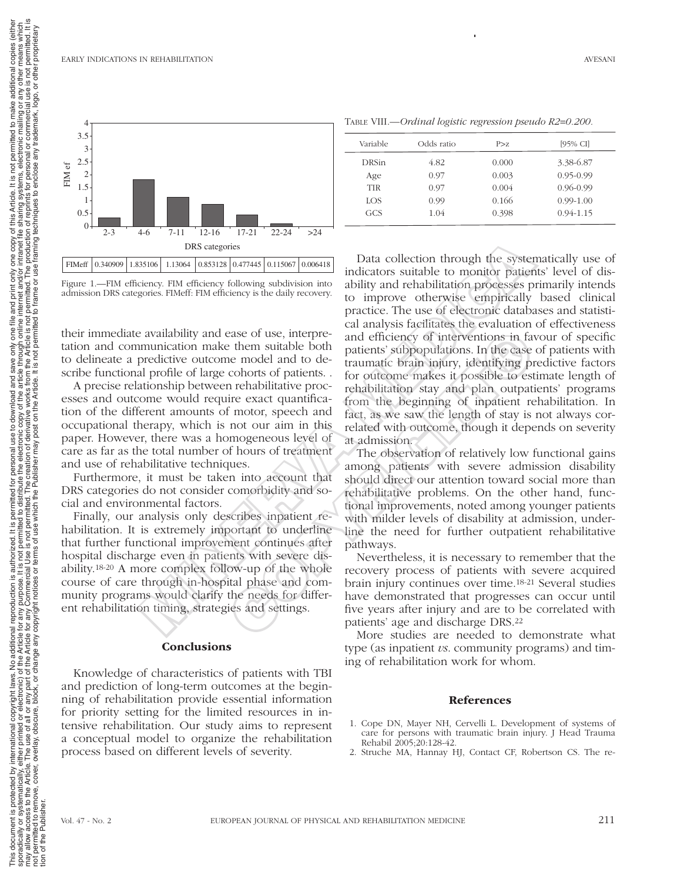Data collection through the systematically use of indicators suitable to monitor patients' level of disability and rehabilitation processes primarily intends to improve otherwise empirically based clinical practice. The use of electronic databases and statistical analysis facilitates the evaluation of effectiveness and efficiency of interventions in favour of specific patients' subpopulations. In the case of patients with traumatic brain injury, identifying predictive factors for outcome makes it possible to estimate length of rehabilitation stay and plan outpatients' programs from the beginning of inpatient rehabilitation. In fact, as we saw the length of stay is not always correlated with outcome, though it depends on severity at admission. **PRME**  $\frac{1}{(2\pi)^{2}}$  (DRS categories  $\frac{1}{(2\pi)^{2}}$  in the dast collection through the system and a system in the distribution processes of the daily recovery. The use of electronic control processes and one multiplier ease of use, interpre-<br>
and efficiency of interventions in fa<br>
the m suitable both<br>
end and to de<br>
traumatic brains injury, identifying pre-<br>
enodel and to de<br>
tranmatic brains in principals to estimate<br>
or coloners of pat

The observation of relatively low functional gains among patients with severe admission disability should direct our attention toward social more than rehabilitative problems. On the other hand, functional improvements, noted among younger patients with milder levels of disability at admission, underline the need for further outpatient rehabilitative pathways.

Nevertheless, it is necessary to remember that the recovery process of patients with severe acquired brain injury continues over time.18-21 Several studies have demonstrated that progresses can occur until five years after injury and are to be correlated with patients' age and discharge DRS.22

More studies are needed to demonstrate what type (as inpatient *vs*. community programs) and timing of rehabilitation work for whom.

### References

- 1. Cope DN, Mayer NH, Cervelli L. Development of systems of care for persons with traumatic brain injury. J Head Trauma Rehabil 2005;20:128-42.
- 2. Struche MA, Hannay HJ, Contact CF, Robertson CS. The re-

Figure 1.—FIM efficiency. FIM efficiency following subdivision into admission DRS categories. FIM efficiency is the daily recovery.

their immediate availability and ease of use, interpretation and communication make them suitable both to delineate a predictive outcome model and to describe functional profile of large cohorts of patients. .

A precise relationship between rehabilitative processes and outcome would require exact quantification of the different amounts of motor, speech and occupational therapy, which is not our aim in this paper. However, there was a homogeneous level of care as far as the total number of hours of treatment and use of rehabilitative techniques.

Furthermore, it must be taken into account that DRS categories do not consider comorbidity and social and environmental factors.

Finally, our analysis only describes inpatient rehabilitation. It is extremely important to underline that further functional improvement continues after hospital discharge even in patients with severe disability.18-20 A more complex follow-up of the whole course of care through in-hospital phase and community programs would clarify the needs for different rehabilitation timing, strategies and settings.

# **Conclusions**

Knowledge of characteristics of patients with TBI and prediction of long-term outcomes at the beginning of rehabilitation provide essential information for priority setting for the limited resources in intensive rehabilitation. Our study aims to represent a conceptual model to organize the rehabilitation process based on different levels of severity.



| Variable   | Odds ratio | P > z | [95% CI]      |  |
|------------|------------|-------|---------------|--|
| DRSin      | 4.82       | 0.000 | 3.38-6.87     |  |
| Age        | 0.97       | 0.003 | $0.95 - 0.99$ |  |
| <b>TIR</b> | 0.97       | 0.004 | $0.96 - 0.99$ |  |
| LOS.       | 0.99       | 0.166 | $0.99 - 1.00$ |  |

GCS 1.04 0.398 0.94-1.15

Table VIII.—*Ordinal logistic regression pseudo R2=0.200.*